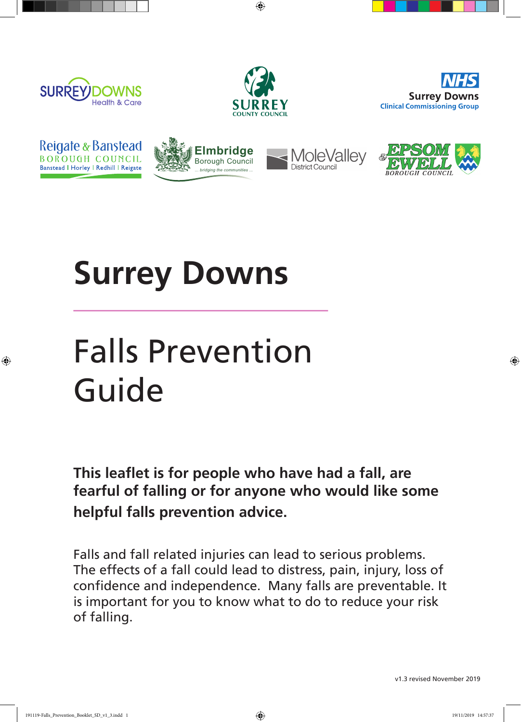



⊕





◈







## **Surrey Downs**

# Falls Prevention Guide

**This leaflet is for people who have had a fall, are fearful of falling or for anyone who would like some helpful falls prevention advice.**

Falls and fall related injuries can lead to serious problems. The effects of a fall could lead to distress, pain, injury, loss of confidence and independence. Many falls are preventable. It is important for you to know what to do to reduce your risk of falling.

v1.3 revised November 2019

191119-Falls\_Prevention\_Booklet\_SD\_v1\_3.indd 1 19/11/2019 14:57:37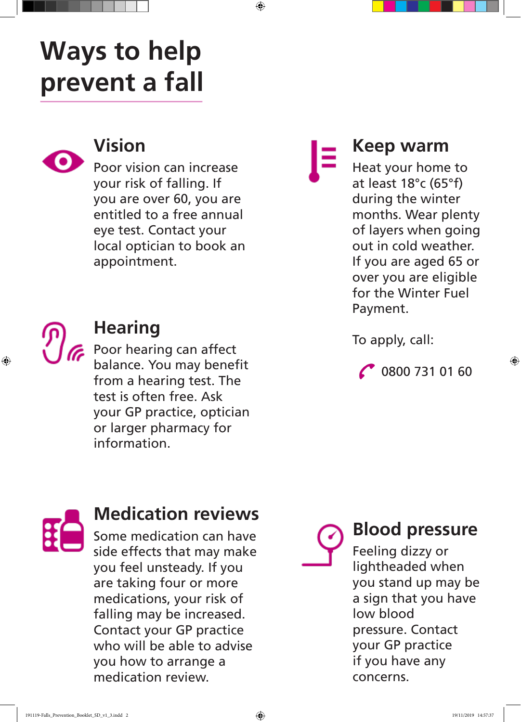### **Ways to help prevent a fall**



#### **Vision**

Poor vision can increase your risk of falling. If you are over 60, you are entitled to a free annual eye test. Contact your local optician to book an appointment.

♠

#### **Hearing**

**Poor hearing can affect** balance. You may benefit from a hearing test. The test is often free. Ask your GP practice, optician or larger pharmacy for information.

⊕

#### **Keep warm**

Heat your home to at least 18°c (65°f) during the winter months. Wear plenty of layers when going out in cold weather. If you are aged 65 or over you are eligible for the Winter Fuel Payment.

To apply, call:

0800 731 01 60

⊕

#### **Medication reviews**

Some medication can have side effects that may make you feel unsteady. If you are taking four or more medications, your risk of falling may be increased. Contact your GP practice who will be able to advise you how to arrange a medication review.

#### **Blood pressure**

Feeling dizzy or lightheaded when you stand up may be a sign that you have low blood pressure. Contact your GP practice if you have any concerns.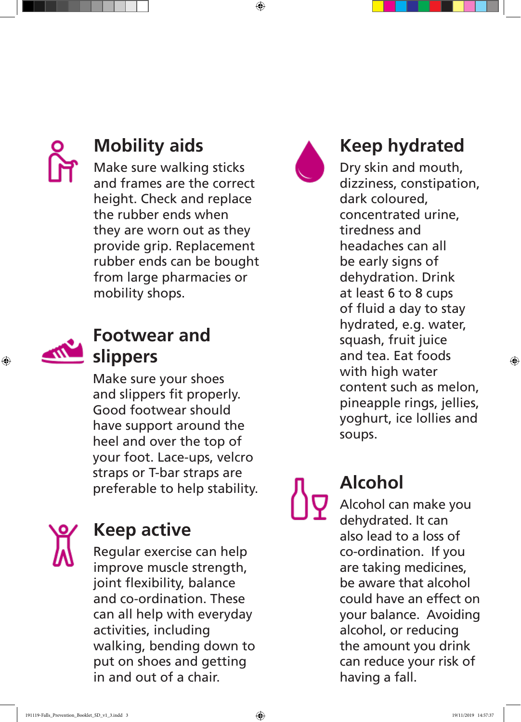$\bigoplus$ 



### **Mobility aids**

Make sure walking sticks and frames are the correct height. Check and replace the rubber ends when they are worn out as they provide grip. Replacement rubber ends can be bought from large pharmacies or mobility shops.



⊕

#### **Footwear and slippers**

Make sure your shoes and slippers fit properly. Good footwear should have support around the heel and over the top of your foot. Lace-ups, velcro straps or T-bar straps are preferable to help stability.



#### **Keep active**

Regular exercise can help improve muscle strength, joint flexibility, balance and co-ordination. These can all help with everyday activities, including walking, bending down to put on shoes and getting in and out of a chair.



#### **Keep hydrated**

Dry skin and mouth, dizziness, constipation, dark coloured, concentrated urine, tiredness and headaches can all be early signs of dehydration. Drink at least 6 to 8 cups of fluid a day to stay hydrated, e.g. water, squash, fruit juice and tea. Eat foods with high water content such as melon, pineapple rings, jellies, yoghurt, ice lollies and soups.

### **Alcohol**

Alcohol can make you dehydrated. It can also lead to a loss of co-ordination. If you are taking medicines, be aware that alcohol could have an effect on your balance. Avoiding alcohol, or reducing the amount you drink can reduce your risk of having a fall.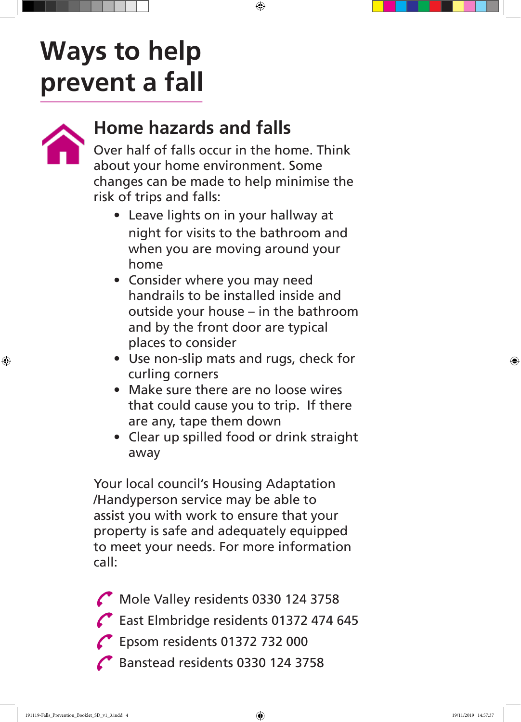## **Ways to help prevent a fall**



⊕

#### **Home hazards and falls**

Over half of falls occur in the home. Think about your home environment. Some changes can be made to help minimise the risk of trips and falls:

 $\bigoplus$ 

- Leave lights on in your hallway at night for visits to the bathroom and when you are moving around your home
- Consider where you may need handrails to be installed inside and outside your house – in the bathroom and by the front door are typical places to consider
- Use non-slip mats and rugs, check for curling corners
- Make sure there are no loose wires that could cause you to trip. If there are any, tape them down
- Clear up spilled food or drink straight away

Your local council's Housing Adaptation /Handyperson service may be able to assist you with work to ensure that your property is safe and adequately equipped to meet your needs. For more information call:

Mole Valley residents 0330 124 3758 East Elmbridge residents 01372 474 645

- Epsom residents 01372 732 000
- Banstead residents 0330 124 3758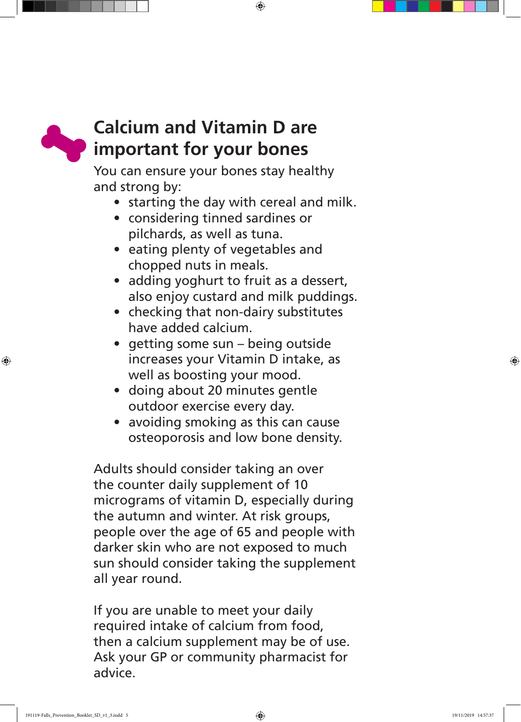$\bigoplus$ 



⊕

#### **Calcium and Vitamin D are important for your bones**

You can ensure your bones stay healthy and strong by:

- starting the day with cereal and milk.
- considering tinned sardines or pilchards, as well as tuna.
- eating plenty of vegetables and chopped nuts in meals.
- adding yoghurt to fruit as a dessert, also enjoy custard and milk puddings.
- checking that non-dairy substitutes have added calcium.
- getting some sun being outside increases your Vitamin D intake, as well as boosting your mood.
- doing about 20 minutes gentle outdoor exercise every day.
- avoiding smoking as this can cause osteoporosis and low bone density.

Adults should consider taking an over the counter daily supplement of 10 micrograms of vitamin D, especially during the autumn and winter. At risk groups, people over the age of 65 and people with darker skin who are not exposed to much sun should consider taking the supplement all year round.

If you are unable to meet your daily required intake of calcium from food, then a calcium supplement may be of use. Ask your GP or community pharmacist for advice.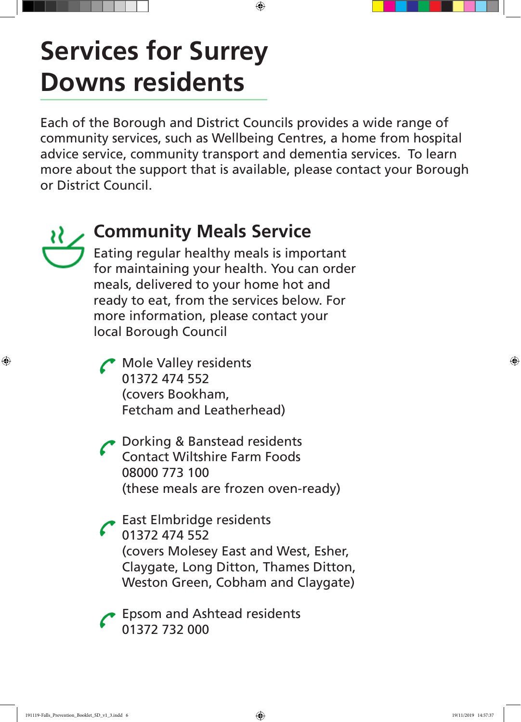### **Services for Surrey Downs residents**

Each of the Borough and District Councils provides a wide range of community services, such as Wellbeing Centres, a home from hospital advice service, community transport and dementia services. To learn more about the support that is available, please contact your Borough or District Council.

⊕



⊕

#### **Community Meals Service**

Eating regular healthy meals is important for maintaining your health. You can order meals, delivered to your home hot and ready to eat, from the services below. For more information, please contact your local Borough Council

Mole Valley residents 01372 474 552 (covers Bookham, Fetcham and Leatherhead)

Dorking & Banstead residents Contact Wiltshire Farm Foods 08000 773 100 (these meals are frozen oven-ready)

East Elmbridge residents 01372 474 552 (covers Molesey East and West, Esher, Claygate, Long Ditton, Thames Ditton, Weston Green, Cobham and Claygate)

Epsom and Ashtead residents 01372 732 000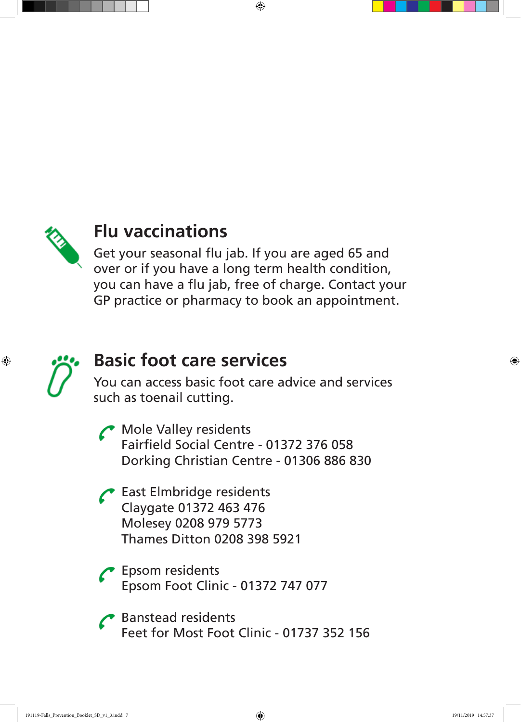

#### **Flu vaccinations**

Get your seasonal flu jab. If you are aged 65 and over or if you have a long term health condition, you can have a flu jab, free of charge. Contact your GP practice or pharmacy to book an appointment.

 $\bigoplus$ 



⊕

#### **Basic foot care services**

You can access basic foot care advice and services such as toenail cutting.

Mole Valley residents Fairfield Social Centre - 01372 376 058 Dorking Christian Centre - 01306 886 830

East Elmbridge residents Claygate 01372 463 476 Molesey 0208 979 5773 Thames Ditton 0208 398 5921

Epsom residents Epsom Foot Clinic - 01372 747 077

Banstead residents Feet for Most Foot Clinic - 01737 352 156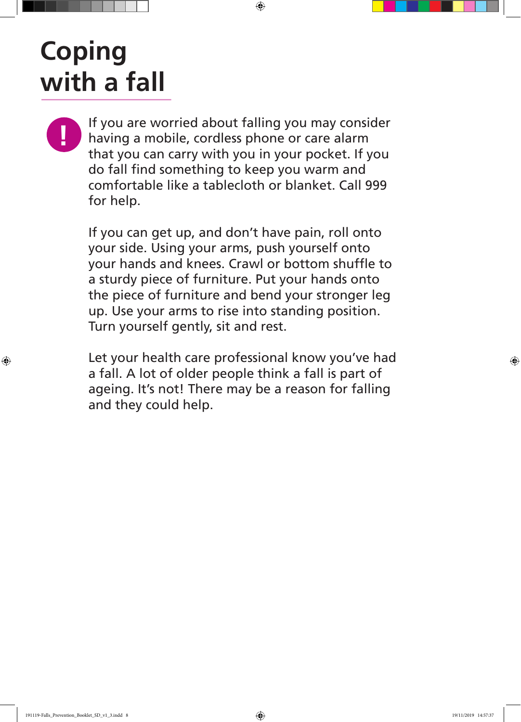## **Coping with a fall**

**If you are worried about falling you may consider**<br>
having a mobile, cordless phone or care alarm that you can carry with you in your pocket. If you do fall find something to keep you warm and comfortable like a tablecloth or blanket. Call 999 for help.

 $\bigoplus$ 

If you can get up, and don't have pain, roll onto your side. Using your arms, push yourself onto your hands and knees. Crawl or bottom shuffle to a sturdy piece of furniture. Put your hands onto the piece of furniture and bend your stronger leg up. Use your arms to rise into standing position. Turn yourself gently, sit and rest.

Let your health care professional know you've had a fall. A lot of older people think a fall is part of ageing. It's not! There may be a reason for falling and they could help.

⊕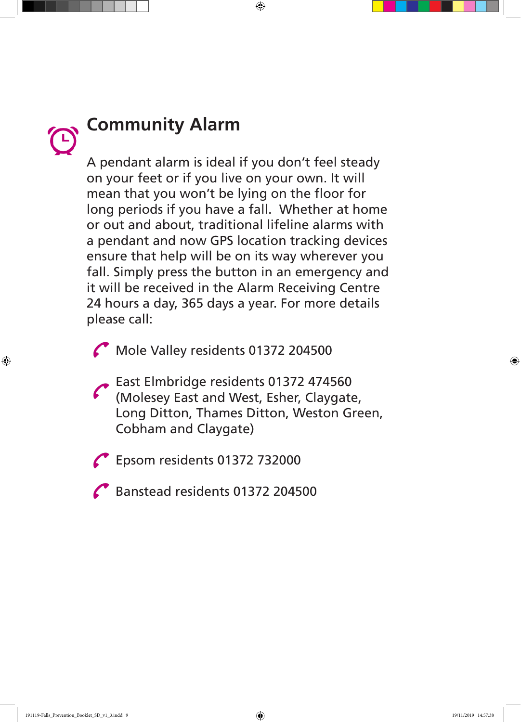$\bigoplus$ 

# **Community Alarm**

A pendant alarm is ideal if you don't feel steady on your feet or if you live on your own. It will mean that you won't be lying on the floor for long periods if you have a fall. Whether at home or out and about, traditional lifeline alarms with a pendant and now GPS location tracking devices ensure that help will be on its way wherever you fall. Simply press the button in an emergency and it will be received in the Alarm Receiving Centre 24 hours a day, 365 days a year. For more details please call:

Mole Valley residents 01372 204500

East Elmbridge residents 01372 474560 (Molesey East and West, Esher, Claygate, Long Ditton, Thames Ditton, Weston Green, Cobham and Claygate)

Epsom residents 01372 732000

Banstead residents 01372 204500

♠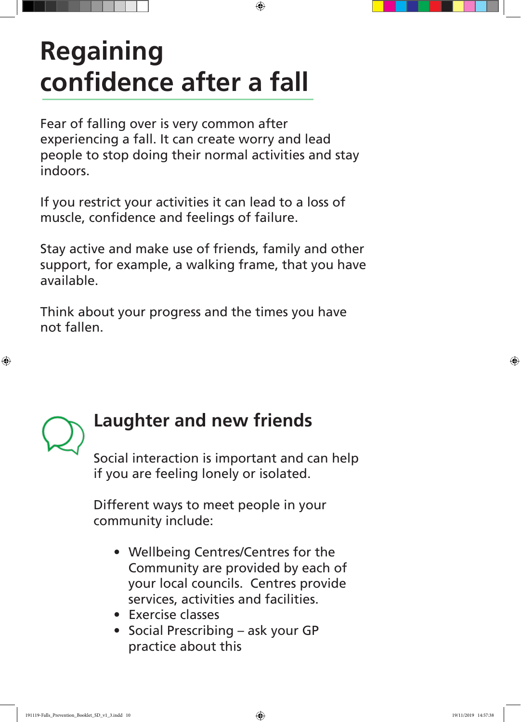## **Regaining confidence after a fall**

Fear of falling over is very common after experiencing a fall. It can create worry and lead people to stop doing their normal activities and stay indoors.

⊕

If you restrict your activities it can lead to a loss of muscle, confidence and feelings of failure.

Stay active and make use of friends, family and other support, for example, a walking frame, that you have available.

Think about your progress and the times you have not fallen.



⊕

#### **Laughter and new friends**

Social interaction is important and can help if you are feeling lonely or isolated.

Different ways to meet people in your community include:

- Wellbeing Centres/Centres for the Community are provided by each of your local councils. Centres provide services, activities and facilities.
- Exercise classes
- Social Prescribing ask your GP practice about this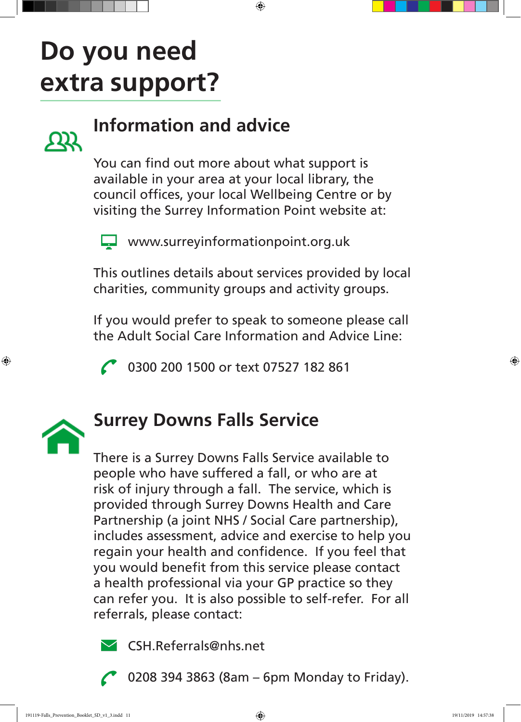### **Do you need extra support?**



#### **Information and advice**

You can find out more about what support is available in your area at your local library, the council offices, your local Wellbeing Centre or by visiting the Surrey Information Point website at:

 $\bigoplus$ 



www.surreyinformationpoint.org.uk

This outlines details about services provided by local charities, community groups and activity groups.

If you would prefer to speak to someone please call the Adult Social Care Information and Advice Line:

0300 200 1500 or text 07527 182 861



⊕

#### **Surrey Downs Falls Service**

There is a Surrey Downs Falls Service available to people who have suffered a fall, or who are at risk of injury through a fall. The service, which is provided through Surrey Downs Health and Care Partnership (a joint NHS / Social Care partnership), includes assessment, advice and exercise to help you regain your health and confidence. If you feel that you would benefit from this service please contact a health professional via your GP practice so they can refer you. It is also possible to self-refer. For all referrals, please contact:



CSH.Referrals@nhs.net

0208 394 3863 (8am – 6pm Monday to Friday).